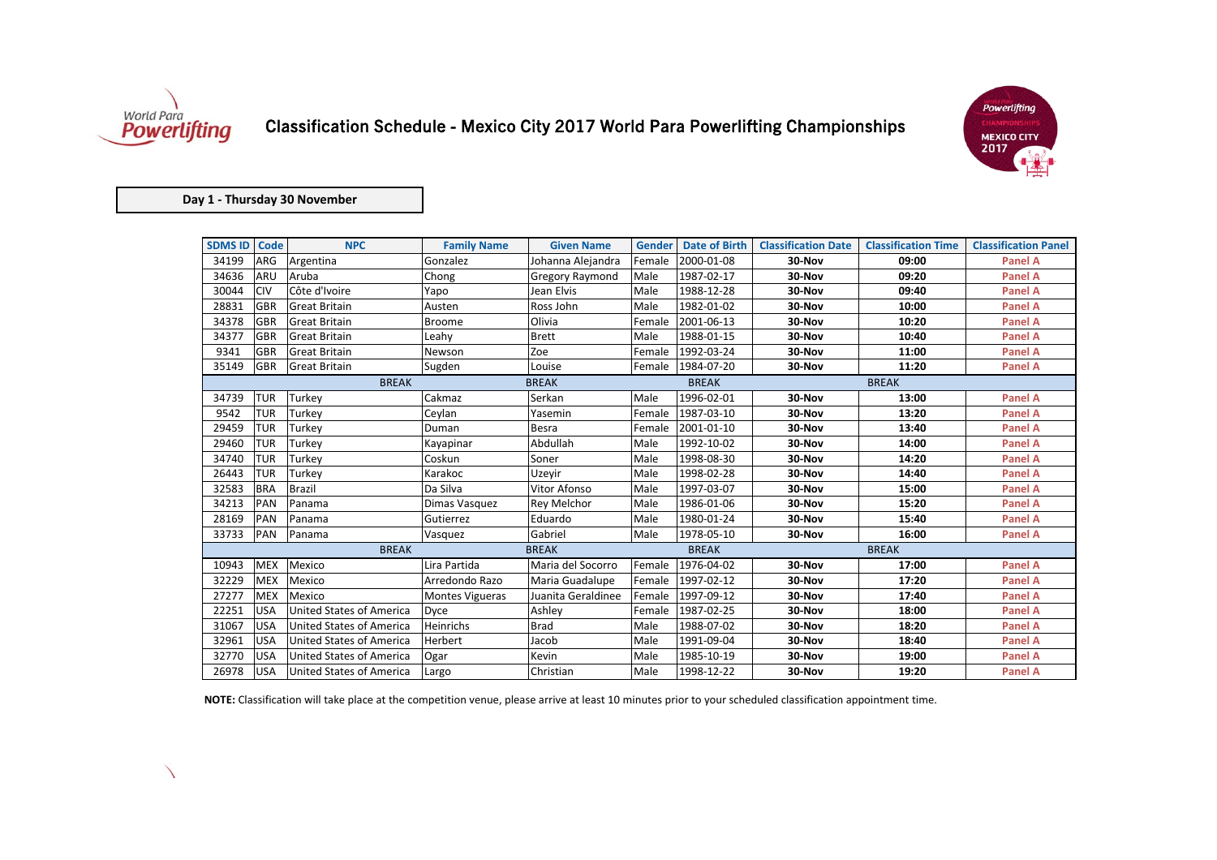

 $\overline{\phantom{0}}$ 

| <b>SDMS ID</b> | <b>Code</b> | <b>NPC</b>                      | <b>Family Name</b>     | <b>Given Name</b>      | <b>Gender</b> | <b>Date of Birth</b> | <b>Classification Date</b> | <b>Classification Time</b> | <b>Classification Panel</b> |
|----------------|-------------|---------------------------------|------------------------|------------------------|---------------|----------------------|----------------------------|----------------------------|-----------------------------|
| 34199          | <b>ARG</b>  | Argentina                       | Gonzalez               | Johanna Alejandra      | Female        | 2000-01-08           | 30-Nov                     | 09:00                      | <b>Panel A</b>              |
| 34636          | <b>ARU</b>  | Aruba                           | Chong                  | <b>Gregory Raymond</b> | Male          | 1987-02-17           | 30-Nov                     | 09:20                      | <b>Panel A</b>              |
| 30044          | <b>CIV</b>  | Côte d'Ivoire                   | Yapo                   | Jean Elvis             | Male          | 1988-12-28           | 30-Nov                     | 09:40                      | <b>Panel A</b>              |
| 28831          | <b>GBR</b>  | <b>Great Britain</b>            | Austen                 | Ross John              | Male          | 1982-01-02           | 30-Nov                     | 10:00                      | <b>Panel A</b>              |
| 34378          | GBR         | <b>Great Britain</b>            | <b>Broome</b>          | Olivia                 | Female        | 2001-06-13           | 30-Nov                     | 10:20                      | <b>Panel A</b>              |
| 34377          | <b>GBR</b>  | <b>Great Britain</b>            | Leahy                  | <b>Brett</b>           | Male          | 1988-01-15           | 30-Nov                     | 10:40                      | <b>Panel A</b>              |
| 9341           | GBR         | <b>Great Britain</b>            | Newson                 | Zoe                    | Female        | 1992-03-24           | 30-Nov                     | 11:00                      | <b>Panel A</b>              |
| 35149          | <b>GBR</b>  | <b>Great Britain</b>            | Sugden                 | Louise                 | Female        | 1984-07-20           | 30-Nov                     | 11:20                      | <b>Panel A</b>              |
|                |             | <b>BREAK</b>                    |                        | <b>BREAK</b>           |               | <b>BREAK</b>         |                            | <b>BREAK</b>               |                             |
| 34739          | <b>TUR</b>  | <b>Turkey</b>                   | Cakmaz                 | Serkan                 | Male          | 1996-02-01           | 30-Nov                     | 13:00                      | <b>Panel A</b>              |
| 9542           | <b>TUR</b>  | Turkey                          | Ceylan                 | Yasemin                | Female        | 1987-03-10           | 30-Nov                     | 13:20                      | <b>Panel A</b>              |
| 29459          | <b>TUR</b>  | Turkey                          | Duman                  | <b>Besra</b>           | Female        | 2001-01-10           | 30-Nov                     | 13:40                      | <b>Panel A</b>              |
| 29460          | <b>TUR</b>  | Turkey                          | Kayapinar              | Abdullah               | Male          | 1992-10-02           | 30-Nov                     | 14:00                      | <b>Panel A</b>              |
| 34740          | <b>TUR</b>  | Turkey                          | Coskun                 | Soner                  | Male          | 1998-08-30           | 30-Nov                     | 14:20                      | <b>Panel A</b>              |
| 26443          | <b>TUR</b>  | Turkey                          | Karakoc                | Uzeyir                 | Male          | 1998-02-28           | 30-Nov                     | 14:40                      | <b>Panel A</b>              |
| 32583          | <b>BRA</b>  | <b>Brazil</b>                   | Da Silva               | <b>Vitor Afonso</b>    | Male          | 1997-03-07           | 30-Nov                     | 15:00                      | <b>Panel A</b>              |
| 34213          | <b>PAN</b>  | Panama                          | Dimas Vasquez          | <b>Rey Melchor</b>     | Male          | 1986-01-06           | 30-Nov                     | 15:20                      | <b>Panel A</b>              |
| 28169          | <b>PAN</b>  | Panama                          | Gutierrez              | Eduardo                | Male          | 1980-01-24           | 30-Nov                     | 15:40                      | <b>Panel A</b>              |
| 33733          | PAN         | Panama                          | Vasquez                | Gabriel                | Male          | 1978-05-10           | 30-Nov                     | 16:00                      | <b>Panel A</b>              |
|                |             | <b>BREAK</b>                    |                        | <b>BREAK</b>           |               | <b>BREAK</b>         |                            | <b>BREAK</b>               |                             |
| 10943          | <b>MEX</b>  | Mexico                          | Lira Partida           | Maria del Socorro      | Female        | 1976-04-02           | 30-Nov                     | 17:00                      | <b>Panel A</b>              |
| 32229          | <b>MEX</b>  | Mexico                          | Arredondo Razo         | Maria Guadalupe        | Female        | 1997-02-12           | 30-Nov                     | 17:20                      | <b>Panel A</b>              |
| 27277          | <b>MEX</b>  | Mexico                          | <b>Montes Vigueras</b> | Juanita Geraldinee     | Female        | 1997-09-12           | 30-Nov                     | 17:40                      | <b>Panel A</b>              |
| 22251          | <b>USA</b>  | <b>United States of America</b> | Dyce                   | Ashley                 | Female        | 1987-02-25           | 30-Nov                     | 18:00                      | <b>Panel A</b>              |
| 31067          | <b>USA</b>  | <b>United States of America</b> | Heinrichs              | <b>Brad</b>            | Male          | 1988-07-02           | 30-Nov                     | 18:20                      | <b>Panel A</b>              |
| 32961          | <b>USA</b>  | <b>United States of America</b> | Herbert                | Jacob                  | Male          | 1991-09-04           | 30-Nov                     | 18:40                      | <b>Panel A</b>              |
| 32770          | <b>USA</b>  | <b>United States of America</b> | Ogar                   | Kevin                  | Male          | 1985-10-19           | 30-Nov                     | 19:00                      | <b>Panel A</b>              |
| 26978          | <b>USA</b>  | United States of America        | Largo                  | Christian              | Male          | 1998-12-22           | 30-Nov                     | 19:20                      | <b>Panel A</b>              |

## Classification Schedule - Mexico City 2017 World Para Powerlifting Championships

**NOTE:** Classification will take place at the competition venue, please arrive at least 10 minutes prior to your scheduled classification appointment time.



## **Day 1 - Thursday 30 November**